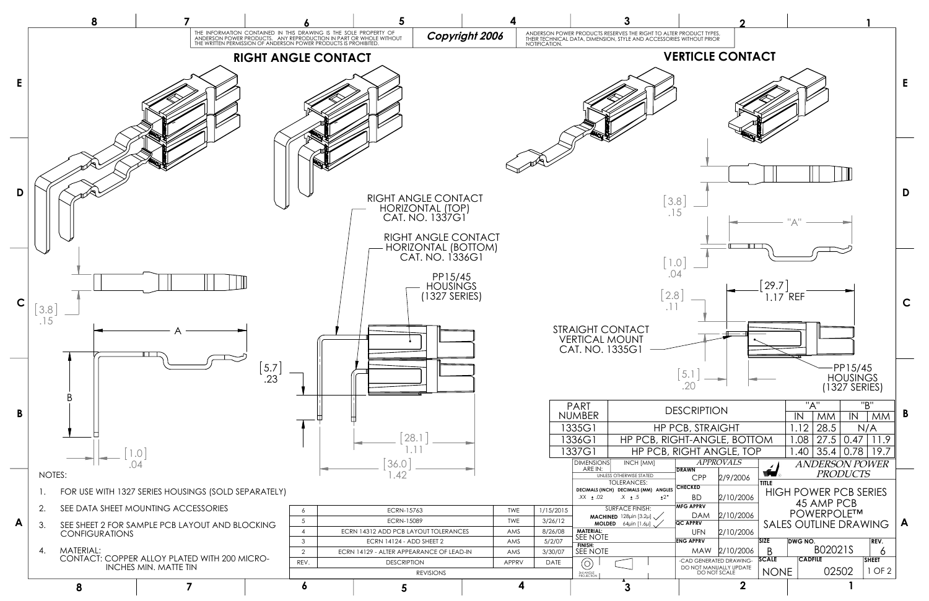